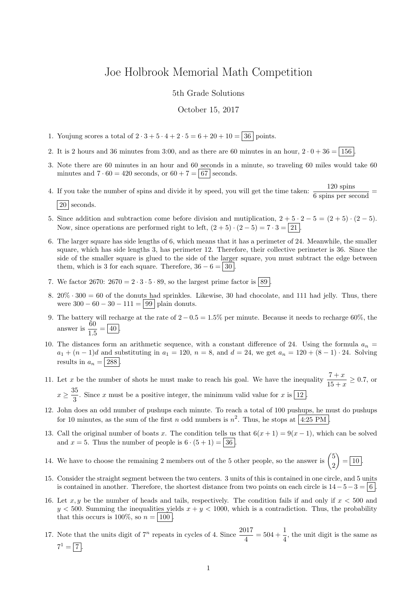## Joe Holbrook Memorial Math Competition

5th Grade Solutions

October 15, 2017

- 1. Youjung scores a total of  $2 \cdot 3 + 5 \cdot 4 + 2 \cdot 5 = 6 + 20 + 10 = 36$  points.
- 2. It is 2 hours and 36 minutes from 3:00, and as there are 60 minutes in an hour,  $2 \cdot 0 + 36 = 156$
- 3. Note there are 60 minutes in an hour and 60 seconds in a minute, so traveling 60 miles would take 60 minutes and  $7 \cdot 60 = 420$  seconds, or  $60 + 7 = 67$  seconds.
- 4. If you take the number of spins and divide it by speed, you will get the time taken:  $\frac{120 \text{ spins}}{6 \text{ spins per second}}$  =  $|20|$  seconds.
- 5. Since addition and subtraction come before division and mutiplication,  $2 + 5 \cdot 2 5 = (2 + 5) \cdot (2 5)$ . Now, since operations are performed right to left,  $(2+5) \cdot (2-5) = 7 \cdot 3 = 21$ .
- 6. The larger square has side lengths of 6, which means that it has a perimeter of 24. Meanwhile, the smaller square, which has side lengths 3, has perimeter 12. Therefore, their collective perimeter is 36. Since the side of the smaller square is glued to the side of the larger square, you must subtract the edge between them, which is 3 for each square. Therefore,  $36 - 6 = 30$
- 7. We factor 2670:  $2670 = 2 \cdot 3 \cdot 5 \cdot 89$ , so the largest prime factor is  $89$
- 8.  $20\% \cdot 300 = 60$  of the donuts had sprinkles. Likewise, 30 had chocolate, and 111 had jelly. Thus, there were  $300 - 60 - 30 - 111 = 99$  plain donuts.
- 9. The battery will recharge at the rate of  $2 0.5 = 1.5\%$  per minute. Because it needs to recharge 60%, the answer is  $\frac{60}{15}$  $\frac{00}{1.5} = 40$ .
- 10. The distances form an arithmetic sequence, with a constant difference of 24. Using the formula  $a_n =$  $a_1 + (n-1)d$  and substituting in  $a_1 = 120$ ,  $n = 8$ , and  $d = 24$ , we get  $a_n = 120 + (8 - 1) \cdot 24$ . Solving results in  $a_n = 288$ .
- 11. Let x be the number of shots he must make to reach his goal. We have the inequality  $\frac{7+x}{15+x} \ge 0.7$ , or  $x \geq \frac{35}{2}$  $\frac{3}{3}$ . Since x must be a positive integer, the minimum valid value for x is  $\boxed{12}$ .
- 12. John does an odd number of pushups each minute. To reach a total of 100 pushups, he must do pushups for 10 minutes, as the sum of the first n odd numbers is  $n^2$ . Thus, he stops at 4:25 PM.
- 13. Call the original number of boats x. The condition tells us that  $6(x + 1) = 9(x 1)$ , which can be solved and  $x = 5$ . Thus the number of people is  $6 \cdot (5 + 1) = 36$ .
- 14. We have to choose the remaining 2 members out of the 5 other people, so the answer is  $\binom{5}{3}$ 2  $\Big) = \boxed{10}.$
- 15. Consider the straight segment between the two centers. 3 units of this is contained in one circle, and 5 units is contained in another. Therefore, the shortest distance from two points on each circle is  $14-5-3=6$ .
- 16. Let  $x, y$  be the number of heads and tails, respectively. The condition fails if and only if  $x < 500$  and  $y < 500$ . Summing the inequalities yields  $x + y < 1000$ , which is a contradiction. Thus, the probability that this occurs is 100%, so  $n = 100$ .
- 17. Note that the units digit of  $7^n$  repeats in cycles of 4. Since  $\frac{2017}{4} = 504 + \frac{1}{4}$ , the unit digit is the same as  $7^1 = \boxed{7}$ .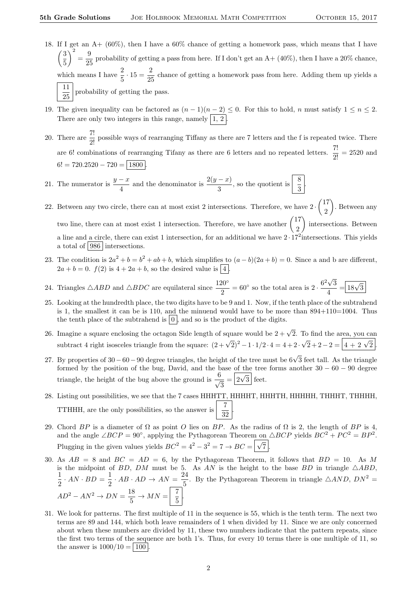- 18. If I get an A+ (60%), then I have a 60% chance of getting a homework pass, which means that I have  $\sqrt{3}$ 5  $\bigg\}^2 = \frac{9}{21}$  $\frac{0}{25}$  probability of getting a pass from here. If I don't get an A+ (40%), then I have a 20% chance, which means I have  $\frac{2}{5} \cdot 15 = \frac{2}{25}$  $\frac{2}{25}$  chance of getting a homework pass from here. Adding them up yields a 11  $\frac{11}{25}$  probability of getting the pass.
- 19. The given inequality can be factored as  $(n-1)(n-2) \le 0$ . For this to hold, n must satisfy  $1 \le n \le 2$ . There are only two integers in this range, namely  $\boxed{1, 2}$
- 20. There are  $\frac{7!}{2!}$  possible ways of rearranging Tiffany as there are 7 letters and the f is repeated twice. There are 6! combinations of rearranging Tifany as there are 6 letters and no repeated letters.  $\frac{7!}{2!} = 2520$  and  $6! = 720.2520 - 720 = 1800$
- 21. The numerator is  $\frac{y-x}{4}$  and the denominator is  $\frac{2(y-x)}{3}$ , so the quotient is  $\left|\frac{8}{3}\right|$ .
- 22. Between any two circle, there can at most exist 2 intersections. Therefore, we have  $2 \cdot \binom{17}{2}$ 2 . Between any two line, there can at most exist 1 intersection. Therefore, we have another  $\begin{pmatrix} 17 \\ 2 \end{pmatrix}$ 2 ) intersections. Between a line and a circle, there can exist 1 intersection, for an additional we have  $2 \cdot 17^2$  intersections. This yields a total of 986 intersections.
- 23. The condition is  $2a^2 + b = b^2 + ab + b$ , which simplifies to  $(a b)(2a + b) = 0$ . Since a and b are different,  $2a + b = 0$ .  $f(2)$  is  $4 + 2a + b$ , so the desired value is  $\boxed{4}$
- 24. Triangles  $\triangle ABD$  and  $\triangle BDC$  are equilateral since  $\frac{120^{\circ}}{2} = 60^{\circ}$  so the total area is  $2 \cdot \frac{6^2 \sqrt{3}}{4}$ 3  $\frac{\sqrt{3}}{4} = \boxed{18\sqrt{3}}$
- 25. Looking at the hundredth place, the two digits have to be 9 and 1. Now, if the tenth place of the subtrahend is 1, the smallest it can be is 110, and the minuend would have to be more than  $894+110=1004$ . Thus the tenth place of the subtrahend is  $\vert 0 \vert$ , and so is the product of the digits.
- 26. Imagine a square enclosing the octagon Side length of square would be  $2 + \sqrt{2}$ . To find the area, you can subtract 4 right isosceles triangle from the square:  $(2 + \sqrt{2})^2 - 1 \cdot 1/2 \cdot 4 = 4 + 2 \cdot \sqrt{2} + 2 - 2 = 4 + 2 \cdot \sqrt{2}$ .
- 27. By properties of 30 60 90 degree triangles, the height of the tree must be 6√3 feet tall. As the triangle formed by the position of the bug, David, and the base of the tree forms another  $30 - 60 - 90$  degree triangle, the height of the bug above the ground is  $\frac{6}{4}$  $\frac{3}{3} = \boxed{2\sqrt{3}}$  feet.
- 28. Listing out possibilities, we see that the 7 cases HHHTT, HHHHT, HHHTH, HHHHH, THHHT, THHHH, TTHHH, are the only possibilities, so the answer is  $\begin{array}{|c|c|c|} \hline 7 & 32 \\ \hline \end{array}$ .
- 29. Chord BP is a diameter of  $\Omega$  as point O lies on BP. As the radius of  $\Omega$  is 2, the length of BP is 4, and the angle  $\angle BCP = 90^{\circ}$ , applying the Pythagorean Theorem on  $\triangle BCP$  yields  $BC^{2} + PC^{2} = BP^{2}$ . Plugging in the given values yields  $BC^2 = 4^2 - 3^2 = 7 \rightarrow BC = \sqrt{\sqrt{}}$  $7$  .
- 30. As  $AB = 8$  and  $BC = AD = 6$ , by the Pythagorean Theorem, it follows that  $BD = 10$ . As M is the midpoint of BD, DM must be 5. As AN is the height to the base BD in triangle  $\triangle ABD$ , 1  $\frac{1}{2} \cdot AN \cdot BD = \frac{1}{2}$  $rac{1}{2} \cdot AB \cdot AD \rightarrow AN = \frac{24}{5}$  $\frac{24}{5}$ . By the Pythagorean Theorem in triangle  $\triangle AND$ ,  $DN^2 =$  $AD^2 - AN^2 \rightarrow DN = \frac{18}{5}$  $rac{18}{5}$   $\rightarrow$   $MN = \begin{bmatrix} 7 \\ 5 \end{bmatrix}$  $\frac{1}{5}$
- 31. We look for patterns. The first multiple of 11 in the sequence is 55, which is the tenth term. The next two terms are 89 and 144, which both leave remainders of 1 when divided by 11. Since we are only concerned about when these numbers are divided by 11, these two numbers indicate that the pattern repeats, since the first two terms of the sequence are both 1's. Thus, for every 10 terms there is one multiple of 11, so the answer is  $1000/10 = | 100 |$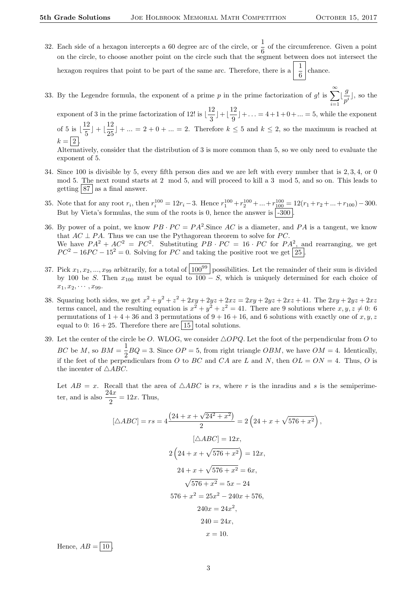- 32. Each side of a hexagon intercepts a 60 degree arc of the circle, or  $\frac{1}{6}$  of the circumference. Given a point on the circle, to choose another point on the circle such that the segment between does not intersect the hexagon requires that point to be part of the same arc. Therefore, there is a  $\frac{1}{6}$  chance.
- 33. By the Legendre formula, the exponent of a prime p in the prime factorization of g! is  $\sum_{n=1}^{\infty} \left| \frac{g}{n} \right|$  $i=1$  $\frac{9}{p^i}$ , so the

exponent of 3 in the prime factorization of 12! is  $\frac{12}{2}$  $\lfloor \frac{12}{3} \rfloor + \lfloor \frac{12}{9} \rfloor$  $\frac{12}{9}$  + ... = 4 + 1 + 0 + ... = 5, while the exponent of 5 is  $\frac{12}{5}$  $\lfloor \frac{12}{5} \rfloor + \lfloor \frac{12}{25} \rfloor$  $\frac{12}{25}$  + ... = 2 + 0 + ... = 2. Therefore  $k \leq 5$  and  $k \leq 2$ , so the maximum is reached at  $k = |2|$ .

Alternatively, consider that the distribution of 3 is more common than 5, so we only need to evaluate the exponent of 5.

- 34. Since 100 is divisible by 5, every fifth person dies and we are left with every number that is 2, 3, 4, or 0 mod 5. The next round starts at 2 mod 5, and will proceed to kill a 3 mod 5, and so on. This leads to getting  $\boxed{87}$  as a final answer.
- 35. Note that for any root  $r_i$ , then  $r_i^{100} = 12r_i 3$ . Hence  $r_1^{100} + r_2^{100} + \dots + r_{100}^{100} = 12(r_1 + r_2 + \dots + r_{100}) 300$ . But by Vieta's formulas, the sum of the roots is 0, hence the answer is  $\sim$  1.300.
- 36. By power of a point, we know  $PB \cdot PC = PA^2$ . Since AC is a diameter, and PA is a tangent, we know that  $AC \perp PA$ . Thus we can use the Pythagorean theorem to solve for PC. We have  $PA^2 + AC^2 = PC^2$ . Substituting  $PB \cdot PC = 16 \cdot PC$  for  $PA^2$ , and rearranging, we get  $PC^{2} - 16PC - 15^{2} = 0$ . Solving for PC and taking the positive root we get [25].
- 37. Pick  $x_1, x_2, ..., x_{99}$  arbitrarily, for a total of  $100^{99}$  possibilities. Let the remainder of their sum is divided by 100 be S. Then  $x_{100}$  must be equal to  $100-S$ , which is uniquely determined for each choice of  $x_1, x_2, \cdots, x_{99}.$
- 38. Squaring both sides, we get  $x^2 + y^2 + z^2 + 2xy + 2yz + 2xz = 2xy + 2yz + 2xz + 41$ . The  $2xy + 2yz + 2xz$ terms cancel, and the resulting equation is  $x^2 + y^2 + z^2 = 41$ . There are 9 solutions where  $x, y, z \neq 0$ : 6 permutations of  $1 + 4 + 36$  and 3 permutations of  $9 + 16 + 16$ , and 6 solutions with exactly one of x, y, z equal to 0:  $16 + 25$ . Therefore there are  $\boxed{15}$  total solutions.
- 39. Let the center of the circle be O. WLOG, we consider  $\triangle OPQ$ . Let the foot of the perpendicular from O to BC be M, so  $BM = \frac{1}{2}BQ = 3$ . Since  $OP = 5$ , from right triangle OBM, we have  $OM = 4$ . Identically, if the feet of the perpendiculars from O to BC and CA are L and N, then  $OL = ON = 4$ . Thus, O is the incenter of  $\triangle ABC$ .

Let  $AB = x$ . Recall that the area of  $\triangle ABC$  is rs, where r is the inradius and s is the semiperimeter, and is also  $\frac{24x}{2} = 12x$ . Thus,

$$
[\triangle ABC] = rs = 4 \frac{(24 + x + \sqrt{24^2 + x^2})}{2} = 2 \left( 24 + x + \sqrt{576 + x^2} \right),
$$
  
\n
$$
[\triangle ABC] = 12x,
$$
  
\n
$$
2 \left( 24 + x + \sqrt{576 + x^2} \right) = 12x,
$$
  
\n
$$
24 + x + \sqrt{576 + x^2} = 6x,
$$
  
\n
$$
\sqrt{576 + x^2} = 5x - 24
$$
  
\n
$$
576 + x^2 = 25x^2 - 240x + 576,
$$
  
\n
$$
240x = 24x^2,
$$
  
\n
$$
240 = 24x,
$$
  
\n
$$
x = 10.
$$

Hence,  $AB = \boxed{10}$